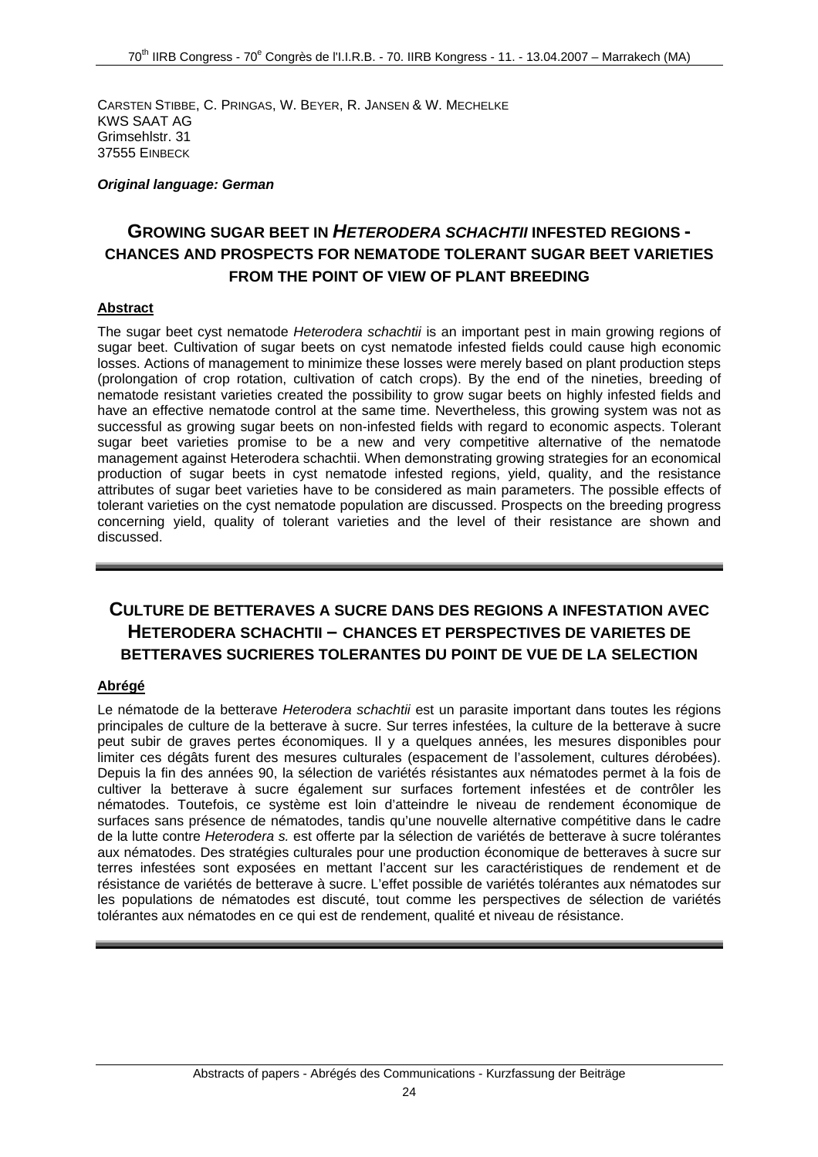CARSTEN STIBBE, C. PRINGAS, W. BEYER, R. JANSEN & W. MECHELKE KWS SAAT AG Grimsehlstr. 31 37555 EINBECK

#### *Original language: German*

## **GROWING SUGAR BEET IN** *HETERODERA SCHACHTII* **INFESTED REGIONS - CHANCES AND PROSPECTS FOR NEMATODE TOLERANT SUGAR BEET VARIETIES FROM THE POINT OF VIEW OF PLANT BREEDING**

#### **Abstract**

The sugar beet cyst nematode *Heterodera schachtii* is an important pest in main growing regions of sugar beet. Cultivation of sugar beets on cyst nematode infested fields could cause high economic losses. Actions of management to minimize these losses were merely based on plant production steps (prolongation of crop rotation, cultivation of catch crops). By the end of the nineties, breeding of nematode resistant varieties created the possibility to grow sugar beets on highly infested fields and have an effective nematode control at the same time. Nevertheless, this growing system was not as successful as growing sugar beets on non-infested fields with regard to economic aspects. Tolerant sugar beet varieties promise to be a new and very competitive alternative of the nematode management against Heterodera schachtii. When demonstrating growing strategies for an economical production of sugar beets in cyst nematode infested regions, yield, quality, and the resistance attributes of sugar beet varieties have to be considered as main parameters. The possible effects of tolerant varieties on the cyst nematode population are discussed. Prospects on the breeding progress concerning yield, quality of tolerant varieties and the level of their resistance are shown and discussed.

## **CULTURE DE BETTERAVES A SUCRE DANS DES REGIONS A INFESTATION AVEC HETERODERA SCHACHTII – CHANCES ET PERSPECTIVES DE VARIETES DE BETTERAVES SUCRIERES TOLERANTES DU POINT DE VUE DE LA SELECTION**

### **Abrégé**

Le nématode de la betterave *Heterodera schachtii* est un parasite important dans toutes les régions principales de culture de la betterave à sucre. Sur terres infestées, la culture de la betterave à sucre peut subir de graves pertes économiques. Il y a quelques années, les mesures disponibles pour limiter ces dégâts furent des mesures culturales (espacement de l'assolement, cultures dérobées). Depuis la fin des années 90, la sélection de variétés résistantes aux nématodes permet à la fois de cultiver la betterave à sucre également sur surfaces fortement infestées et de contrôler les nématodes. Toutefois, ce système est loin d'atteindre le niveau de rendement économique de surfaces sans présence de nématodes, tandis qu'une nouvelle alternative compétitive dans le cadre de la lutte contre *Heterodera s.* est offerte par la sélection de variétés de betterave à sucre tolérantes aux nématodes. Des stratégies culturales pour une production économique de betteraves à sucre sur terres infestées sont exposées en mettant l'accent sur les caractéristiques de rendement et de résistance de variétés de betterave à sucre. L'effet possible de variétés tolérantes aux nématodes sur les populations de nématodes est discuté, tout comme les perspectives de sélection de variétés tolérantes aux nématodes en ce qui est de rendement, qualité et niveau de résistance.